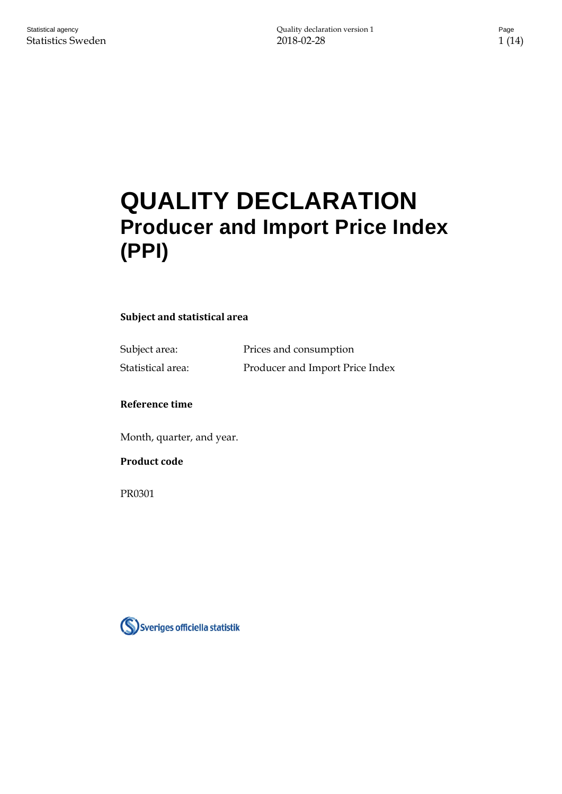# **QUALITY DECLARATION Producer and Import Price Index (PPI)**

# **Subject and statistical area**

Subject area: Prices and consumption

# Statistical area: Producer and Import Price Index

#### **Reference time**

Month, quarter, and year.

### **Product code**

PR0301

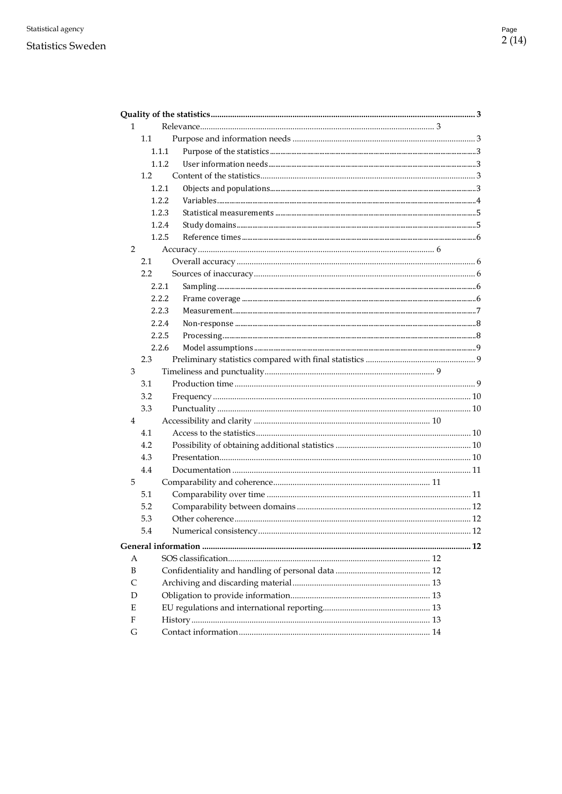| 1              |        |  |
|----------------|--------|--|
|                | 1.1    |  |
|                | 1.1.1  |  |
|                | 1.1.2  |  |
|                | 1.2    |  |
|                | 1.2.1  |  |
|                | 1.2.2  |  |
|                | 1.2.3  |  |
|                | 1.2.4  |  |
|                | 1.2.5  |  |
| $\overline{2}$ |        |  |
|                | 2.1    |  |
|                | 2.2    |  |
|                | 2.2.1  |  |
|                | 2.2.2. |  |
|                | 2.2.3  |  |
|                | 2.2.4  |  |
|                | 2.2.5  |  |
|                | 2.2.6  |  |
|                | 2.3    |  |
| 3              |        |  |
|                | 3.1    |  |
|                | 3.2    |  |
|                | 3.3    |  |
| $\overline{4}$ |        |  |
|                | 4.1    |  |
|                | 4.2    |  |
|                | 4.3    |  |
|                | 4.4    |  |
| 5              |        |  |
|                | 5.1    |  |
|                | 5.2    |  |
|                | 5.3    |  |
|                | 5.4    |  |
|                |        |  |
| A              |        |  |
| B              |        |  |
| C              |        |  |
| D              |        |  |
| E              |        |  |
| F              |        |  |
| G              |        |  |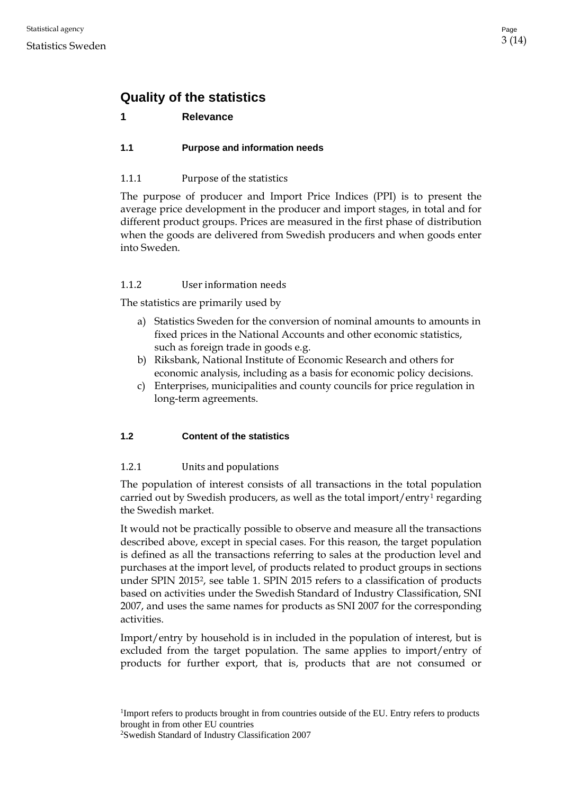# <span id="page-2-0"></span>**Quality of the statistics**

# <span id="page-2-1"></span>**1 Relevance**

# <span id="page-2-2"></span>**1.1 Purpose and information needs**

# <span id="page-2-3"></span>1.1.1 Purpose of the statistics

The purpose of producer and Import Price Indices (PPI) is to present the average price development in the producer and import stages, in total and for different product groups. Prices are measured in the first phase of distribution when the goods are delivered from Swedish producers and when goods enter into Sweden.

# <span id="page-2-4"></span>1.1.2 User information needs

The statistics are primarily used by

- a) Statistics Sweden for the conversion of nominal amounts to amounts in fixed prices in the National Accounts and other economic statistics, such as foreign trade in goods e.g.
- b) Riksbank, National Institute of Economic Research and others for economic analysis, including as a basis for economic policy decisions.
- c) Enterprises, municipalities and county councils for price regulation in long-term agreements.

# <span id="page-2-5"></span>**1.2 Content of the statistics**

# <span id="page-2-6"></span>1.2.1 Units and populations

The population of interest consists of all transactions in the total population carried out by Swedish producers, as well as the total import/entry[1](#page-2-7) regarding the Swedish market.

It would not be practically possible to observe and measure all the transactions described above, except in special cases. For this reason, the target population is defined as all the transactions referring to sales at the production level and purchases at the import level, of products related to product groups in sections under SPIN [2](#page-2-8)015<sup>2</sup>, see table 1. SPIN 2015 refers to a classification of products based on activities under the Swedish Standard of Industry Classification, SNI 2007, and uses the same names for products as SNI 2007 for the corresponding activities.

Import/entry by household is in included in the population of interest, but is excluded from the target population. The same applies to import/entry of products for further export, that is, products that are not consumed or

<span id="page-2-7"></span><sup>1</sup>Import refers to products brought in from countries outside of the EU. Entry refers to products brought in from other EU countries

<span id="page-2-8"></span>2 Swedish Standard of Industry Classification 2007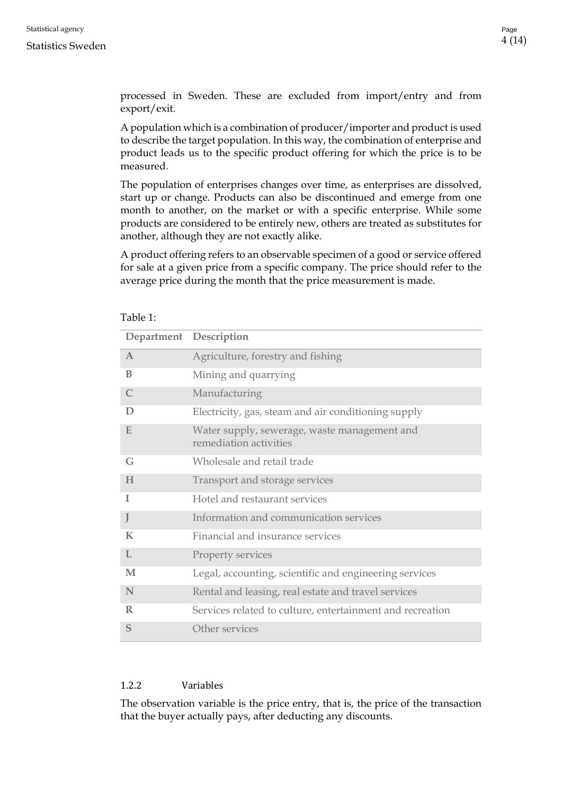processed in Sweden. These are excluded from import/entry and from export/exit.

A population which is a combination of producer/importer and product is used to describe the target population. In this way, the combination of enterprise and product leads us to the specific product offering for which the price is to be measured.

The population of enterprises changes over time, as enterprises are dissolved, start up or change. Products can also be discontinued and emerge from one month to another, on the market or with a specific enterprise. While some products are considered to be entirely new, others are treated as substitutes for another, although they are not exactly alike.

A product offering refers to an observable specimen of a good or service offered for sale at a given price from a specific company. The price should refer to the average price during the month that the price measurement is made.

| rabie r.     |                                                                        |  |  |  |
|--------------|------------------------------------------------------------------------|--|--|--|
|              | Department Description                                                 |  |  |  |
| $\mathbf{A}$ | Agriculture, forestry and fishing                                      |  |  |  |
| B            | Mining and quarrying                                                   |  |  |  |
| $\mathsf{C}$ | Manufacturing                                                          |  |  |  |
| D            | Electricity, gas, steam and air conditioning supply                    |  |  |  |
| E            | Water supply, sewerage, waste management and<br>remediation activities |  |  |  |
| G            | Wholesale and retail trade                                             |  |  |  |
| H            | Transport and storage services                                         |  |  |  |
| T            | Hotel and restaurant services                                          |  |  |  |
| J            | Information and communication services                                 |  |  |  |
| $\mathbf K$  | Financial and insurance services                                       |  |  |  |
| L            | Property services                                                      |  |  |  |
| M            | Legal, accounting, scientific and engineering services                 |  |  |  |
| N            | Rental and leasing, real estate and travel services                    |  |  |  |
| R            | Services related to culture, entertainment and recreation              |  |  |  |
| S            | Other services                                                         |  |  |  |

# $Table 1:$

# <span id="page-3-0"></span>1.2.2 Variables

The observation variable is the price entry, that is, the price of the transaction that the buyer actually pays, after deducting any discounts.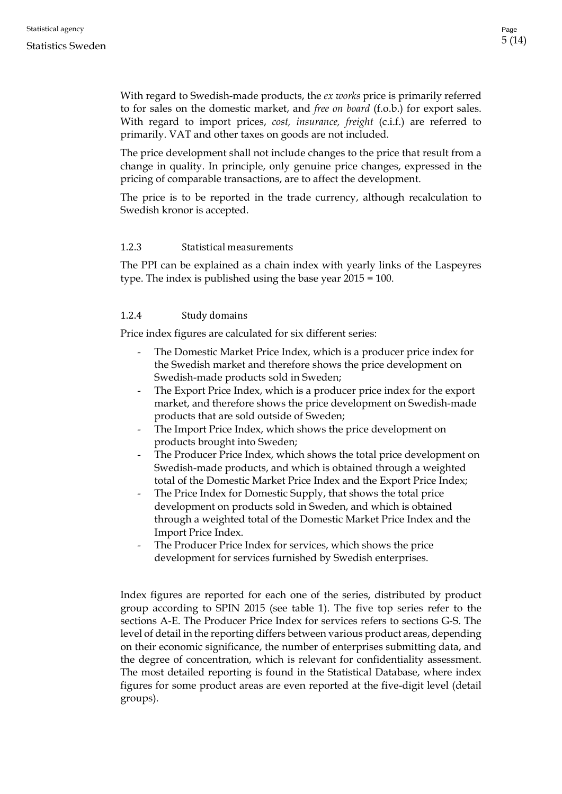With regard to Swedish-made products, the *ex works* price is primarily referred to for sales on the domestic market, and *free on board* (f.o.b.) for export sales. With regard to import prices, *cost, insurance, freight* (c.i.f.) are referred to primarily. VAT and other taxes on goods are not included.

The price development shall not include changes to the price that result from a change in quality. In principle, only genuine price changes, expressed in the pricing of comparable transactions, are to affect the development.

The price is to be reported in the trade currency, although recalculation to Swedish kronor is accepted.

# <span id="page-4-0"></span>1.2.3 Statistical measurements

The PPI can be explained as a chain index with yearly links of the Laspeyres type. The index is published using the base year 2015 = 100.

# <span id="page-4-1"></span>1.2.4 Study domains

Price index figures are calculated for six different series:

- The Domestic Market Price Index, which is a producer price index for the Swedish market and therefore shows the price development on Swedish-made products sold in Sweden;
- The Export Price Index, which is a producer price index for the export market, and therefore shows the price development on Swedish-made products that are sold outside of Sweden;
- The Import Price Index, which shows the price development on products brought into Sweden;
- The Producer Price Index, which shows the total price development on Swedish-made products, and which is obtained through a weighted total of the Domestic Market Price Index and the Export Price Index;
- The Price Index for Domestic Supply, that shows the total price development on products sold in Sweden, and which is obtained through a weighted total of the Domestic Market Price Index and the Import Price Index.
- The Producer Price Index for services, which shows the price development for services furnished by Swedish enterprises.

Index figures are reported for each one of the series, distributed by product group according to SPIN 2015 (see table 1). The five top series refer to the sections A-E. The Producer Price Index for services refers to sections G-S. The level of detail in the reporting differs between various product areas, depending on their economic significance, the number of enterprises submitting data, and the degree of concentration, which is relevant for confidentiality assessment. The most detailed reporting is found in the Statistical Database, where index figures for some product areas are even reported at the five-digit level (detail groups).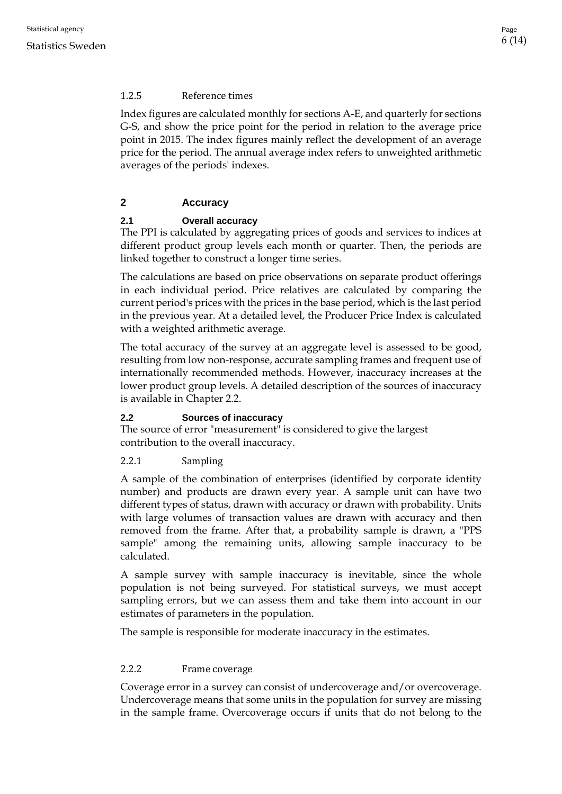# <span id="page-5-0"></span>1.2.5 Reference times

Index figures are calculated monthly for sections A-E, and quarterly for sections G-S, and show the price point for the period in relation to the average price point in 2015. The index figures mainly reflect the development of an average price for the period. The annual average index refers to unweighted arithmetic averages of the periods' indexes.

# <span id="page-5-1"></span>**2 Accuracy**

# <span id="page-5-2"></span>**2.1 Overall accuracy**

The PPI is calculated by aggregating prices of goods and services to indices at different product group levels each month or quarter. Then, the periods are linked together to construct a longer time series.

The calculations are based on price observations on separate product offerings in each individual period. Price relatives are calculated by comparing the current period's prices with the prices in the base period, which is the last period in the previous year. At a detailed level, the Producer Price Index is calculated with a weighted arithmetic average.

The total accuracy of the survey at an aggregate level is assessed to be good, resulting from low non-response, accurate sampling frames and frequent use of internationally recommended methods. However, inaccuracy increases at the lower product group levels. A detailed description of the sources of inaccuracy is available in Chapter 2.2.

# <span id="page-5-3"></span>**2.2 Sources of inaccuracy**

The source of error "measurement" is considered to give the largest contribution to the overall inaccuracy.

<span id="page-5-4"></span>2.2.1 Sampling

A sample of the combination of enterprises (identified by corporate identity number) and products are drawn every year. A sample unit can have two different types of status, drawn with accuracy or drawn with probability. Units with large volumes of transaction values are drawn with accuracy and then removed from the frame. After that, a probability sample is drawn, a "PPS sample" among the remaining units, allowing sample inaccuracy to be calculated.

A sample survey with sample inaccuracy is inevitable, since the whole population is not being surveyed. For statistical surveys, we must accept sampling errors, but we can assess them and take them into account in our estimates of parameters in the population.

The sample is responsible for moderate inaccuracy in the estimates.

# <span id="page-5-5"></span>2.2.2 Frame coverage

Coverage error in a survey can consist of undercoverage and/or overcoverage. Undercoverage means that some units in the population for survey are missing in the sample frame. Overcoverage occurs if units that do not belong to the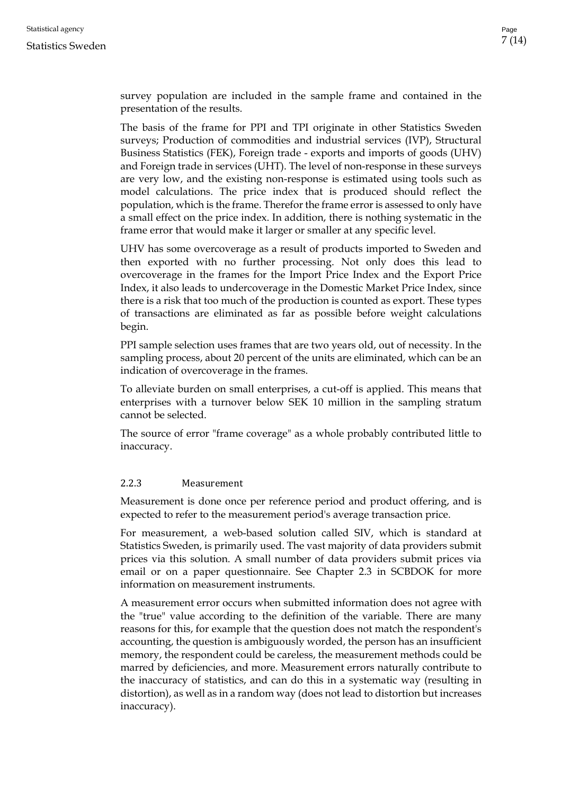survey population are included in the sample frame and contained in the presentation of the results.

The basis of the frame for PPI and TPI originate in other Statistics Sweden surveys; Production of commodities and industrial services (IVP), Structural Business Statistics (FEK), Foreign trade - exports and imports of goods (UHV) and Foreign trade in services (UHT). The level of non-response in these surveys are very low, and the existing non-response is estimated using tools such as model calculations. The price index that is produced should reflect the population, which is the frame. Therefor the frame error is assessed to only have a small effect on the price index. In addition, there is nothing systematic in the frame error that would make it larger or smaller at any specific level.

UHV has some overcoverage as a result of products imported to Sweden and then exported with no further processing. Not only does this lead to overcoverage in the frames for the Import Price Index and the Export Price Index, it also leads to undercoverage in the Domestic Market Price Index, since there is a risk that too much of the production is counted as export. These types of transactions are eliminated as far as possible before weight calculations begin.

PPI sample selection uses frames that are two years old, out of necessity. In the sampling process, about 20 percent of the units are eliminated, which can be an indication of overcoverage in the frames.

To alleviate burden on small enterprises, a cut-off is applied. This means that enterprises with a turnover below SEK 10 million in the sampling stratum cannot be selected.

The source of error "frame coverage" as a whole probably contributed little to inaccuracy.

# <span id="page-6-0"></span>2.2.3 Measurement

Measurement is done once per reference period and product offering, and is expected to refer to the measurement period's average transaction price.

For measurement, a web-based solution called SIV, which is standard at Statistics Sweden, is primarily used. The vast majority of data providers submit prices via this solution. A small number of data providers submit prices via email or on a paper questionnaire. See Chapter 2.3 in SCBDOK for more information on measurement instruments.

A measurement error occurs when submitted information does not agree with the "true" value according to the definition of the variable. There are many reasons for this, for example that the question does not match the respondent's accounting, the question is ambiguously worded, the person has an insufficient memory, the respondent could be careless, the measurement methods could be marred by deficiencies, and more. Measurement errors naturally contribute to the inaccuracy of statistics, and can do this in a systematic way (resulting in distortion), as well as in a random way (does not lead to distortion but increases inaccuracy).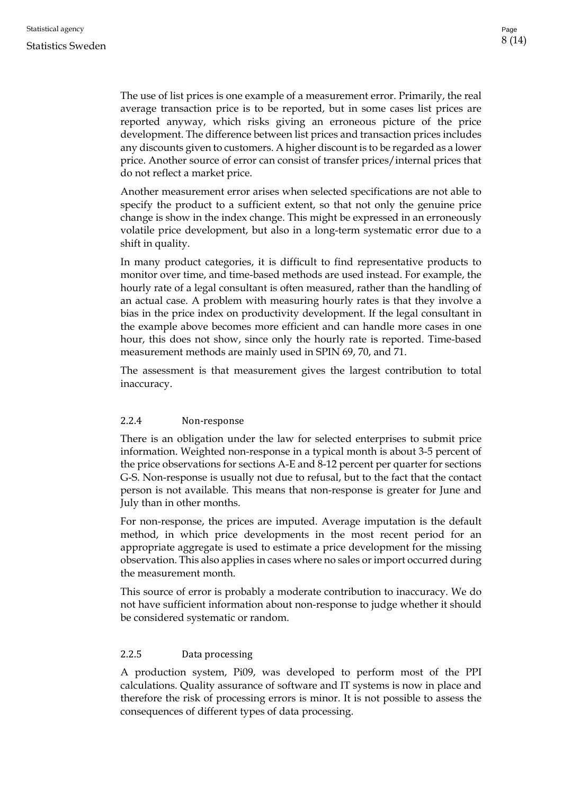The use of list prices is one example of a measurement error. Primarily, the real average transaction price is to be reported, but in some cases list prices are reported anyway, which risks giving an erroneous picture of the price development. The difference between list prices and transaction prices includes any discounts given to customers. A higher discount is to be regarded as a lower price. Another source of error can consist of transfer prices/internal prices that do not reflect a market price.

Another measurement error arises when selected specifications are not able to specify the product to a sufficient extent, so that not only the genuine price change is show in the index change. This might be expressed in an erroneously volatile price development, but also in a long-term systematic error due to a shift in quality.

In many product categories, it is difficult to find representative products to monitor over time, and time-based methods are used instead. For example, the hourly rate of a legal consultant is often measured, rather than the handling of an actual case. A problem with measuring hourly rates is that they involve a bias in the price index on productivity development. If the legal consultant in the example above becomes more efficient and can handle more cases in one hour, this does not show, since only the hourly rate is reported. Time-based measurement methods are mainly used in SPIN 69, 70, and 71.

The assessment is that measurement gives the largest contribution to total inaccuracy.

# <span id="page-7-0"></span>2.2.4 Non-response

There is an obligation under the law for selected enterprises to submit price information. Weighted non-response in a typical month is about 3-5 percent of the price observations for sections A-E and 8-12 percent per quarter for sections G-S. Non-response is usually not due to refusal, but to the fact that the contact person is not available. This means that non-response is greater for June and July than in other months.

For non-response, the prices are imputed. Average imputation is the default method, in which price developments in the most recent period for an appropriate aggregate is used to estimate a price development for the missing observation. This also applies in cases where no sales or import occurred during the measurement month.

This source of error is probably a moderate contribution to inaccuracy. We do not have sufficient information about non-response to judge whether it should be considered systematic or random.

#### <span id="page-7-1"></span>2.2.5 Data processing

A production system, Pi09, was developed to perform most of the PPI calculations. Quality assurance of software and IT systems is now in place and therefore the risk of processing errors is minor. It is not possible to assess the consequences of different types of data processing.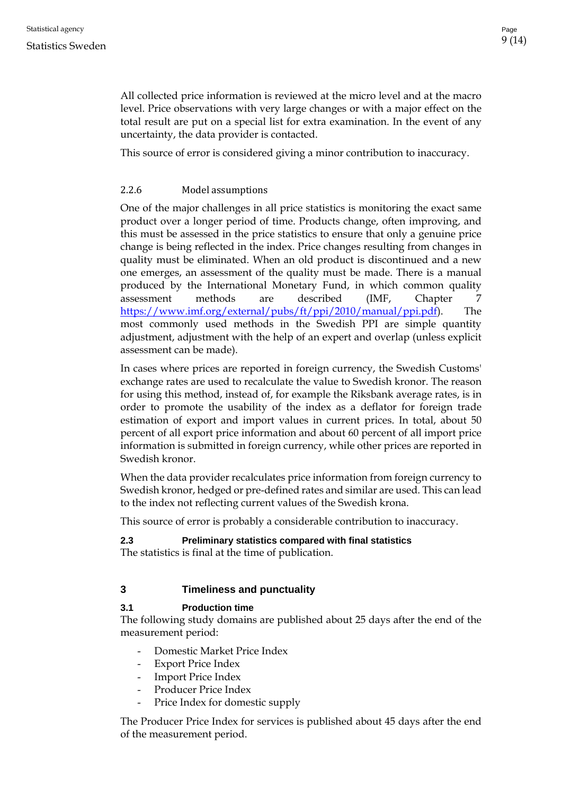All collected price information is reviewed at the micro level and at the macro level. Price observations with very large changes or with a major effect on the total result are put on a special list for extra examination. In the event of any uncertainty, the data provider is contacted.

This source of error is considered giving a minor contribution to inaccuracy.

#### <span id="page-8-0"></span>2.2.6 Model assumptions

One of the major challenges in all price statistics is monitoring the exact same product over a longer period of time. Products change, often improving, and this must be assessed in the price statistics to ensure that only a genuine price change is being reflected in the index. Price changes resulting from changes in quality must be eliminated. When an old product is discontinued and a new one emerges, an assessment of the quality must be made. There is a manual produced by the International Monetary Fund, in which common quality assessment methods are described (IMF, Chapter 7 [https://www.imf.org/external/pubs/ft/ppi/2010/manual/ppi.pdf\)](https://www.imf.org/external/pubs/ft/ppi/2010/manual/ppi.pdf). The most commonly used methods in the Swedish PPI are simple quantity adjustment, adjustment with the help of an expert and overlap (unless explicit assessment can be made).

In cases where prices are reported in foreign currency, the Swedish Customs' exchange rates are used to recalculate the value to Swedish kronor. The reason for using this method, instead of, for example the Riksbank average rates, is in order to promote the usability of the index as a deflator for foreign trade estimation of export and import values in current prices. In total, about 50 percent of all export price information and about 60 percent of all import price information is submitted in foreign currency, while other prices are reported in Swedish kronor.

When the data provider recalculates price information from foreign currency to Swedish kronor, hedged or pre-defined rates and similar are used. This can lead to the index not reflecting current values of the Swedish krona.

This source of error is probably a considerable contribution to inaccuracy.

#### <span id="page-8-1"></span>**2.3 Preliminary statistics compared with final statistics**

The statistics is final at the time of publication.

#### <span id="page-8-2"></span>**3 Timeliness and punctuality**

#### <span id="page-8-3"></span>**3.1 Production time**

The following study domains are published about 25 days after the end of the measurement period:

- Domestic Market Price Index
- Export Price Index
- Import Price Index
- Producer Price Index
- Price Index for domestic supply

The Producer Price Index for services is published about 45 days after the end of the measurement period.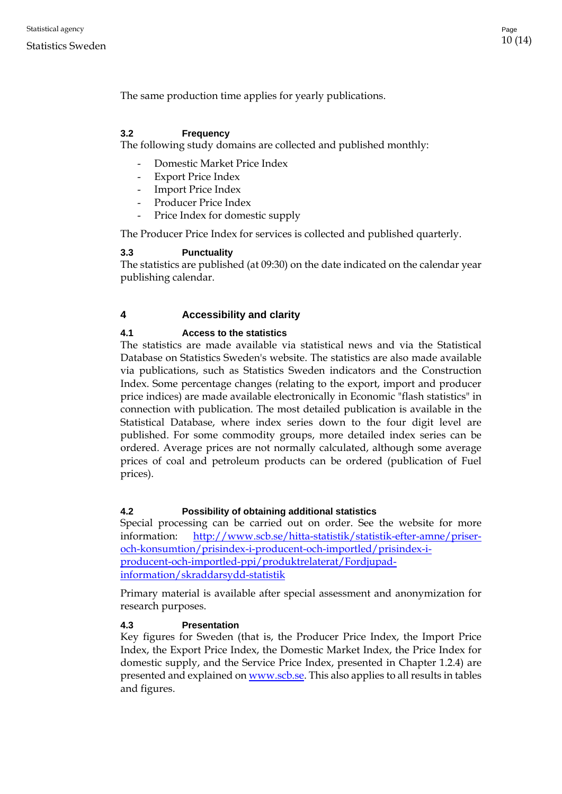The same production time applies for yearly publications.

# <span id="page-9-0"></span>**3.2 Frequency**

The following study domains are collected and published monthly:

- Domestic Market Price Index
- Export Price Index
- Import Price Index
- Producer Price Index
- Price Index for domestic supply

The Producer Price Index for services is collected and published quarterly.

# <span id="page-9-1"></span>**3.3 Punctuality**

The statistics are published (at 09:30) on the date indicated on the calendar year publishing calendar.

# <span id="page-9-2"></span>**4 Accessibility and clarity**

# <span id="page-9-3"></span>**4.1 Access to the statistics**

The statistics are made available via statistical news and via the Statistical Database on Statistics Sweden's website. The statistics are also made available via publications, such as Statistics Sweden indicators and the Construction Index. Some percentage changes (relating to the export, import and producer price indices) are made available electronically in Economic "flash statistics" in connection with publication. The most detailed publication is available in the Statistical Database, where index series down to the four digit level are published. For some commodity groups, more detailed index series can be ordered. Average prices are not normally calculated, although some average prices of coal and petroleum products can be ordered (publication of Fuel prices).

# <span id="page-9-4"></span>**4.2 Possibility of obtaining additional statistics**

Special processing can be carried out on order. See the website for more information: [http://www.scb.se/hitta-statistik/statistik-efter-amne/priser](http://www.scb.se/hitta-statistik/statistik-efter-amne/priser-och-konsumtion/prisindex-i-producent-och-importled/prisindex-i-producent-och-importled-ppi/produktrelaterat/Fordjupad-information/skraddarsydd-statistik)[och-konsumtion/prisindex-i-producent-och-importled/prisindex-i](http://www.scb.se/hitta-statistik/statistik-efter-amne/priser-och-konsumtion/prisindex-i-producent-och-importled/prisindex-i-producent-och-importled-ppi/produktrelaterat/Fordjupad-information/skraddarsydd-statistik)[producent-och-importled-ppi/produktrelaterat/Fordjupad](http://www.scb.se/hitta-statistik/statistik-efter-amne/priser-och-konsumtion/prisindex-i-producent-och-importled/prisindex-i-producent-och-importled-ppi/produktrelaterat/Fordjupad-information/skraddarsydd-statistik)[information/skraddarsydd-statistik](http://www.scb.se/hitta-statistik/statistik-efter-amne/priser-och-konsumtion/prisindex-i-producent-och-importled/prisindex-i-producent-och-importled-ppi/produktrelaterat/Fordjupad-information/skraddarsydd-statistik)

Primary material is available after special assessment and anonymization for research purposes.

# <span id="page-9-5"></span>**4.3 Presentation**

Key figures for Sweden (that is, the Producer Price Index, the Import Price Index, the Export Price Index, the Domestic Market Index, the Price Index for domestic supply, and the Service Price Index, presented in Chapter 1.2.4) are presented and explained o[n www.scb.se.](http://www.scb.se/) This also applies to all results in tables and figures.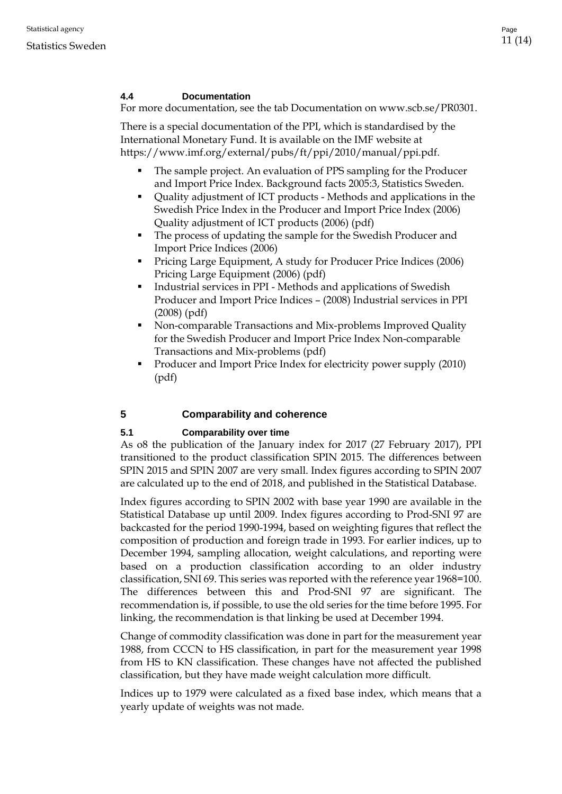# <span id="page-10-0"></span>**4.4 Documentation**

For more documentation, see the tab Documentation on www.scb.se/PR0301.

There is a special documentation of the PPI, which is standardised by the International Monetary Fund. It is available on the IMF website at https://www.imf.org/external/pubs/ft/ppi/2010/manual/ppi.pdf.

- The sample project. An evaluation of PPS sampling for the Producer and Import Price Index. Background facts 2005:3, Statistics Sweden.
- Quality adjustment of ICT products Methods and applications in the Swedish Price Index in the Producer and Import Price Index (2006) Quality adjustment of ICT products (2006) (pdf)
- The process of updating the sample for the Swedish Producer and Import Price Indices (2006)
- **Pricing Large Equipment, A study for Producer Price Indices (2006)** Pricing Large Equipment (2006) (pdf)
- Industrial services in PPI Methods and applications of Swedish Producer and Import Price Indices – (2008) Industrial services in PPI (2008) (pdf)
- Non-comparable Transactions and Mix-problems Improved Quality for the Swedish Producer and Import Price Index Non-comparable Transactions and Mix-problems (pdf)
- Producer and Import Price Index for electricity power supply (2010) (pdf)

# <span id="page-10-1"></span>**5 Comparability and coherence**

# <span id="page-10-2"></span>**5.1 Comparability over time**

As o8 the publication of the January index for 2017 (27 February 2017), PPI transitioned to the product classification SPIN 2015. The differences between SPIN 2015 and SPIN 2007 are very small. Index figures according to SPIN 2007 are calculated up to the end of 2018, and published in the Statistical Database.

Index figures according to SPIN 2002 with base year 1990 are available in the Statistical Database up until 2009. Index figures according to Prod-SNI 97 are backcasted for the period 1990-1994, based on weighting figures that reflect the composition of production and foreign trade in 1993. For earlier indices, up to December 1994, sampling allocation, weight calculations, and reporting were based on a production classification according to an older industry classification, SNI 69. This series was reported with the reference year 1968=100. The differences between this and Prod-SNI 97 are significant. The recommendation is, if possible, to use the old series for the time before 1995. For linking, the recommendation is that linking be used at December 1994.

Change of commodity classification was done in part for the measurement year 1988, from CCCN to HS classification, in part for the measurement year 1998 from HS to KN classification. These changes have not affected the published classification, but they have made weight calculation more difficult.

Indices up to 1979 were calculated as a fixed base index, which means that a yearly update of weights was not made.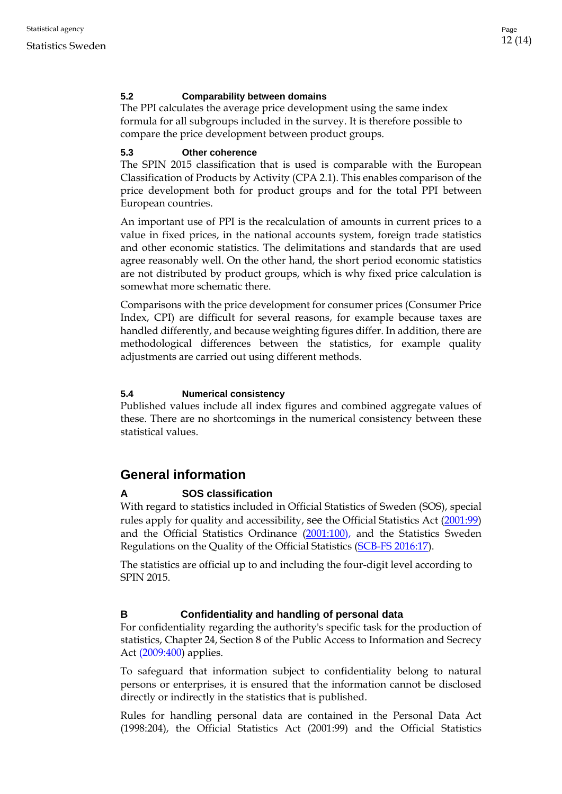# <span id="page-11-0"></span>**5.2 Comparability between domains**

The PPI calculates the average price development using the same index formula for all subgroups included in the survey. It is therefore possible to compare the price development between product groups.

#### <span id="page-11-1"></span>**5.3 Other coherence**

The SPIN 2015 classification that is used is comparable with the European Classification of Products by Activity (CPA 2.1). This enables comparison of the price development both for product groups and for the total PPI between European countries.

An important use of PPI is the recalculation of amounts in current prices to a value in fixed prices, in the national accounts system, foreign trade statistics and other economic statistics. The delimitations and standards that are used agree reasonably well. On the other hand, the short period economic statistics are not distributed by product groups, which is why fixed price calculation is somewhat more schematic there.

Comparisons with the price development for consumer prices (Consumer Price Index, CPI) are difficult for several reasons, for example because taxes are handled differently, and because weighting figures differ. In addition, there are methodological differences between the statistics, for example quality adjustments are carried out using different methods.

#### <span id="page-11-2"></span>**5.4 Numerical consistency**

Published values include all index figures and combined aggregate values of these. There are no shortcomings in the numerical consistency between these statistical values.

# <span id="page-11-3"></span>**General information**

#### <span id="page-11-4"></span>**A SOS classification**

With regard to statistics included in Official Statistics of Sweden (SOS), special rules apply for quality and accessibility, see the Official Statistics Act [\(2001:99\)](http://www.riksdagen.se/sv/Dokument-Lagar/Lagar/Svenskforfattningssamling/Lag-200199-om-den-officiell_sfs-2001-99/) and the Official Statistics Ordinance [\(2001:100\)](http://www.riksdagen.se/sv/dokument-lagar/dokument/svensk-forfattningssamling/forordning-2001100-om-den-officiella_sfs-2001-100), and the Statistics Sweden Regulations on the Quality of the Official Statistics (SCB-FS 2016:17).

The statistics are official up to and including the four-digit level according to SPIN 2015.

#### <span id="page-11-5"></span>**B Confidentiality and handling of personal data**

For confidentiality regarding the authority's specific task for the production of statistics, Chapter 24, Section 8 of the [Public Access to Information and Secrecy](http://www.riksdagen.se/sv/Dokument-Lagar/Lagar/Svenskforfattningssamling/Offentlighets--och-sekretessla_sfs-2009-400/)  Act [\(2009:400\)](http://www.riksdagen.se/sv/Dokument-Lagar/Lagar/Svenskforfattningssamling/Offentlighets--och-sekretessla_sfs-2009-400/) applies.

To safeguard that information subject to confidentiality belong to natural persons or enterprises, it is ensured that the information cannot be disclosed directly or indirectly in the statistics that is published.

Rules for handling personal data are contained in the Personal Data Act (1998:204), the Official Statistics Act (2001:99) and the Official Statistics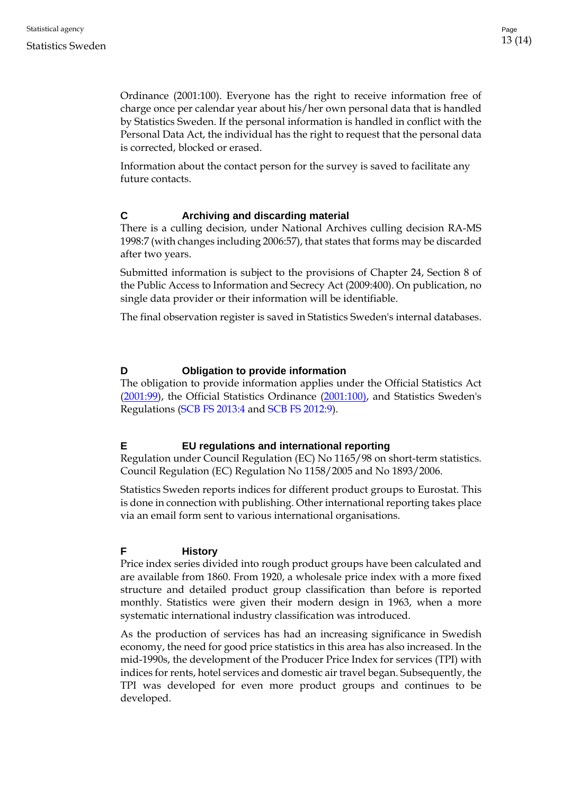Ordinance (2001:100). Everyone has the right to receive information free of charge once per calendar year about his/her own personal data that is handled by Statistics Sweden. If the personal information is handled in conflict with the Personal Data Act, the individual has the right to request that the personal data is corrected, blocked or erased.

Information about the contact person for the survey is saved to facilitate any future contacts.

# <span id="page-12-0"></span>**C Archiving and discarding material**

There is a culling decision, under National Archives culling decision RA-MS 1998:7 (with changes including 2006:57), that states that forms may be discarded after two years.

Submitted information is subject to the provisions of Chapter 24, Section 8 of the Public Access to Information and Secrecy Act (2009:400). On publication, no single data provider or their information will be identifiable.

The final observation register is saved in Statistics Sweden's internal databases.

# <span id="page-12-1"></span>**D Obligation to provide information**

The obligation to provide information applies under the [Official Statistics Act](http://www.riksdagen.se/sv/dokument-lagar/dokument/svensk-forfattningssamling/forordning-2001100-om-den-officiella_sfs-2001-100)  (2001:99), [the Official Statistics Ordinance \(2001:100\), a](http://www.riksdagen.se/sv/dokument-lagar/dokument/svensk-forfattningssamling/forordning-2001100-om-den-officiella_sfs-2001-100)nd Statistics Sweden's Regulations (SCB FS 2013:4 and SCB FS 2012:9).

# <span id="page-12-2"></span>**E EU regulations and international reporting**

Regulation under Council Regulation (EC) No 1165/98 on short-term statistics. Council Regulation (EC) Regulation No 1158/2005 and No 1893/2006.

Statistics Sweden reports indices for different product groups to Eurostat. This is done in connection with publishing. Other international reporting takes place via an email form sent to various international organisations.

# <span id="page-12-3"></span>**F History**

Price index series divided into rough product groups have been calculated and are available from 1860. From 1920, a wholesale price index with a more fixed structure and detailed product group classification than before is reported monthly. Statistics were given their modern design in 1963, when a more systematic international industry classification was introduced.

As the production of services has had an increasing significance in Swedish economy, the need for good price statistics in this area has also increased. In the mid-1990s, the development of the Producer Price Index for services (TPI) with indices for rents, hotel services and domestic air travel began. Subsequently, the TPI was developed for even more product groups and continues to be developed.